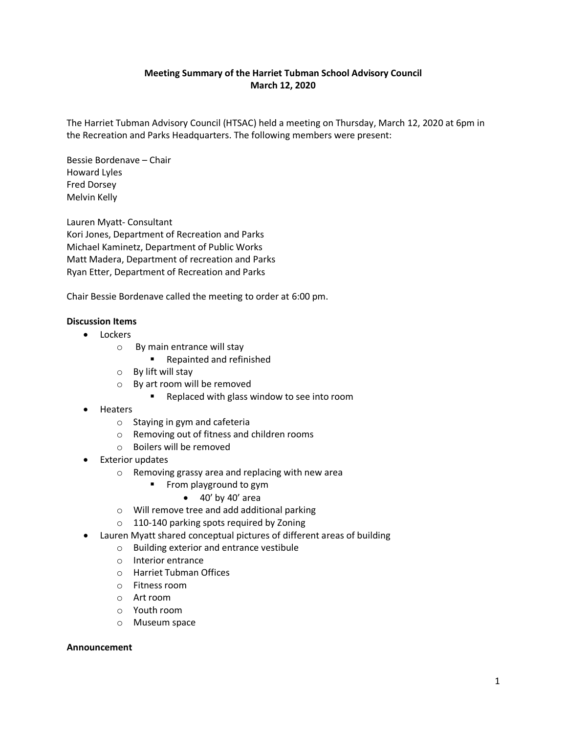# **Meeting Summary of the Harriet Tubman School Advisory Council March 12, 2020**

The Harriet Tubman Advisory Council (HTSAC) held a meeting on Thursday, March 12, 2020 at 6pm in the Recreation and Parks Headquarters. The following members were present:

Bessie Bordenave – Chair Howard Lyles Fred Dorsey Melvin Kelly

Lauren Myatt- Consultant Kori Jones, Department of Recreation and Parks Michael Kaminetz, Department of Public Works Matt Madera, Department of recreation and Parks Ryan Etter, Department of Recreation and Parks

Chair Bessie Bordenave called the meeting to order at 6:00 pm.

# **Discussion Items**

- Lockers
	- o By main entrance will stay
		- **Repainted and refinished**
	- o By lift will stay
	- o By art room will be removed
		- **Replaced with glass window to see into room**
- Heaters
	- o Staying in gym and cafeteria
	- o Removing out of fitness and children rooms
	- o Boilers will be removed
- Exterior updates
	- o Removing grassy area and replacing with new area
		- **Filter** From playground to gym
			- $\bullet$  40' by 40' area
	- o Will remove tree and add additional parking
	- o 110-140 parking spots required by Zoning
- Lauren Myatt shared conceptual pictures of different areas of building
	- o Building exterior and entrance vestibule
	- o Interior entrance
	- o Harriet Tubman Offices
	- o Fitness room
	- o Art room
	- o Youth room
	- o Museum space

#### **Announcement**